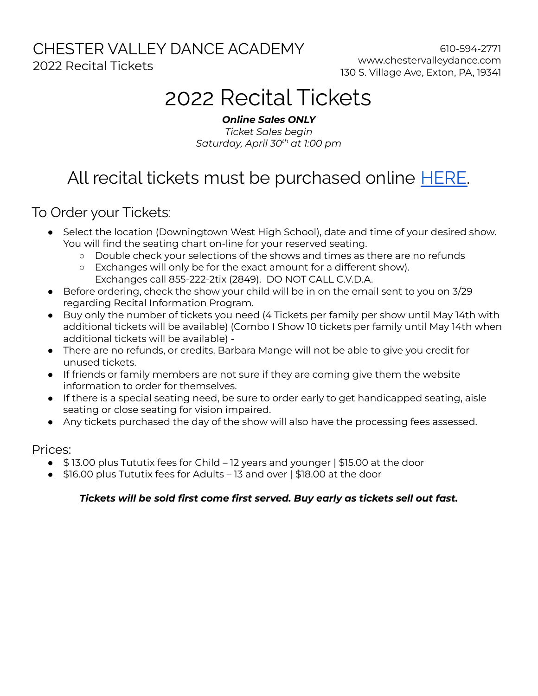### CHESTER VALLEY DANCE ACADEMY 2022 Recital Tickets

610-594-2771 www.chestervalleydance.com 130 S. Village Ave, Exton, PA, 19341

# 2022 Recital Tickets

*Online Sales ONLY Ticket Sales begin Saturday, April 30 th at 1:00 pm*

## All recital tickets must be purchased online [HERE.](https://buy.tututix.com/ChesterValleyDanceAcademyLLC)

To Order your Tickets:

- Select the location (Downingtown West High School), date and time of your desired show. You will find the seating chart on-line for your reserved seating.
	- Double check your selections of the shows and times as there are no refunds
	- Exchanges will only be for the exact amount for a different show). Exchanges call 855-222-2tix (2849). DO NOT CALL C.V.D.A.
- Before ordering, check the show your child will be in on the email sent to you on 3/29 regarding Recital Information Program.
- Buy only the number of tickets you need (4 Tickets per family per show until May 14th with additional tickets will be available) (Combo I Show 10 tickets per family until May 14th when additional tickets will be available) -
- There are no refunds, or credits. Barbara Mange will not be able to give you credit for unused tickets.
- If friends or family members are not sure if they are coming give them the website information to order for themselves.
- If there is a special seating need, be sure to order early to get handicapped seating, aisle seating or close seating for vision impaired.
- Any tickets purchased the day of the show will also have the processing fees assessed.

Prices:

- \$ 13.00 plus Tututix fees for Child 12 years and younger | \$15.00 at the door
- \$16.00 plus Tututix fees for Adults 13 and over | \$18.00 at the door

### *Tickets will be sold first come first served. Buy early as tickets sell out fast.*